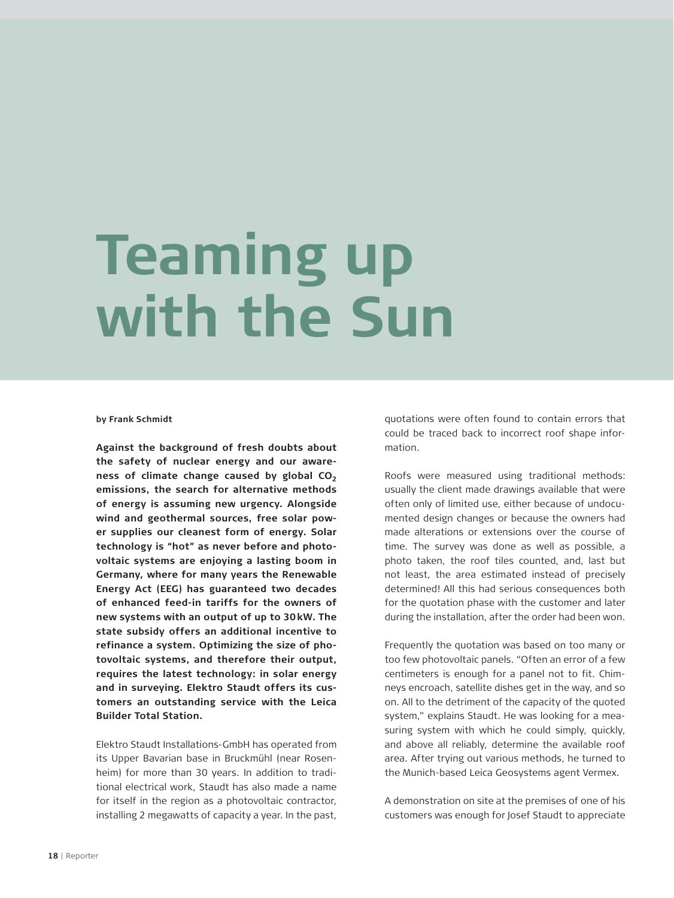## **Teaming up with the Sun**

**by Frank Schmidt**

**Against the background of fresh doubts about the safety of nuclear energy and our aware**ness of climate change caused by global CO<sub>2</sub> **emissions, the search for alternative methods of energy is assuming new urgency. Alongside wind and geothermal sources, free solar power supplies our cleanest form of energy. Solar technology is "hot" as never before and photovoltaic systems are enjoying a lasting boom in Germany, where for many years the Renewable Energy Act (EEG) has guaranteed two decades of enhanced feed-in tariffs for the owners of new systems with an output of up to 30 kW. The state subsidy offers an additional incentive to refinance a system. Optimizing the size of photovoltaic systems, and therefore their output, requires the latest technology: in solar energy and in surveying. Elektro Staudt offers its customers an outstanding service with the Leica Builder Total Station.**

Elektro Staudt Installations-GmbH has operated from its Upper Bavarian base in Bruckmühl (near Rosenheim) for more than 30 years. In addition to traditional electrical work, Staudt has also made a name for itself in the region as a photovoltaic contractor, installing 2 megawatts of capacity a year. In the past,

quotations were often found to contain errors that could be traced back to incorrect roof shape information.

Roofs were measured using traditional methods: usually the client made drawings available that were often only of limited use, either because of undocumented design changes or because the owners had made alterations or extensions over the course of time. The survey was done as well as possible, a photo taken, the roof tiles counted, and, last but not least, the area estimated instead of precisely determined! All this had serious consequences both for the quotation phase with the customer and later during the installation, after the order had been won.

Frequently the quotation was based on too many or too few photovoltaic panels. "Often an error of a few centimeters is enough for a panel not to fit. Chimneys encroach, satellite dishes get in the way, and so on. All to the detriment of the capacity of the quoted system," explains Staudt. He was looking for a measuring system with which he could simply, quickly, and above all reliably, determine the available roof area. After trying out various methods, he turned to the Munich-based Leica Geosystems agent Vermex.

A demonstration on site at the premises of one of his customers was enough for Josef Staudt to appreciate